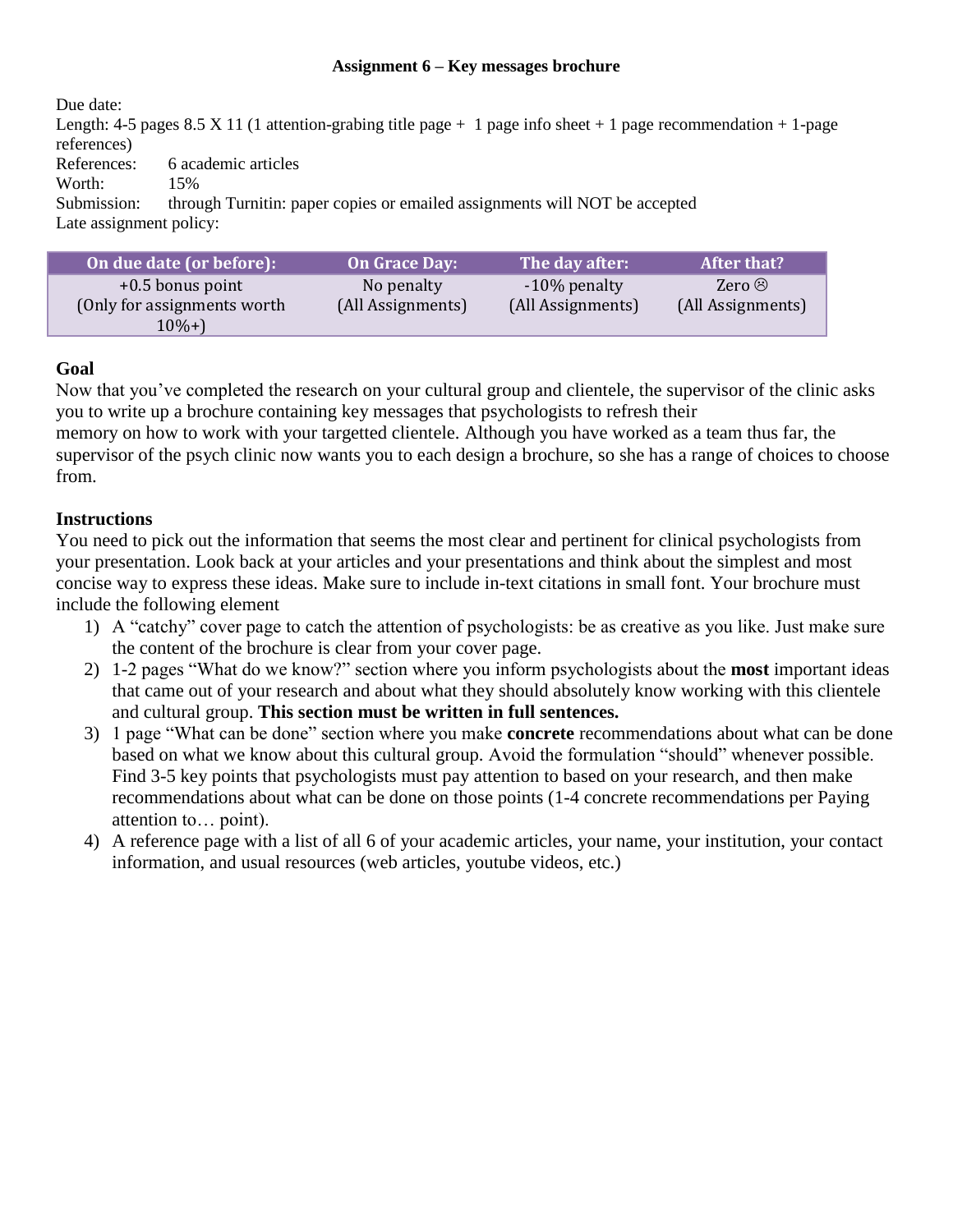## **Assignment 6 – Key messages brochure**

Due date: Length: 4-5 pages 8.5 X 11 (1 attention-grabing title page  $+ 1$  page info sheet  $+ 1$  page recommendation  $+ 1$ -page references) References: 6 academic articles Worth: 15%<br>Submission: throu through Turnitin: paper copies or emailed assignments will NOT be accepted Late assignment policy:

| On due date (or before):     | <b>On Grace Day:</b> | The day after:    | After that?       |
|------------------------------|----------------------|-------------------|-------------------|
| $+0.5$ bonus point           | No penalty           | $-10\%$ penalty   | Zero $\odot$      |
| (Only for assignments worth) | (All Assignments)    | (All Assignments) | (All Assignments) |
| $10\% +$                     |                      |                   |                   |

## **Goal**

Now that you've completed the research on your cultural group and clientele, the supervisor of the clinic asks you to write up a brochure containing key messages that psychologists to refresh their

memory on how to work with your targetted clientele. Although you have worked as a team thus far, the supervisor of the psych clinic now wants you to each design a brochure, so she has a range of choices to choose from.

## **Instructions**

You need to pick out the information that seems the most clear and pertinent for clinical psychologists from your presentation. Look back at your articles and your presentations and think about the simplest and most concise way to express these ideas. Make sure to include in-text citations in small font. Your brochure must include the following element

- 1) A "catchy" cover page to catch the attention of psychologists: be as creative as you like. Just make sure the content of the brochure is clear from your cover page.
- 2) 1-2 pages "What do we know?" section where you inform psychologists about the **most** important ideas that came out of your research and about what they should absolutely know working with this clientele and cultural group. **This section must be written in full sentences.**
- 3) 1 page "What can be done" section where you make **concrete** recommendations about what can be done based on what we know about this cultural group. Avoid the formulation "should" whenever possible. Find 3-5 key points that psychologists must pay attention to based on your research, and then make recommendations about what can be done on those points (1-4 concrete recommendations per Paying attention to… point).
- 4) A reference page with a list of all 6 of your academic articles, your name, your institution, your contact information, and usual resources (web articles, youtube videos, etc.)